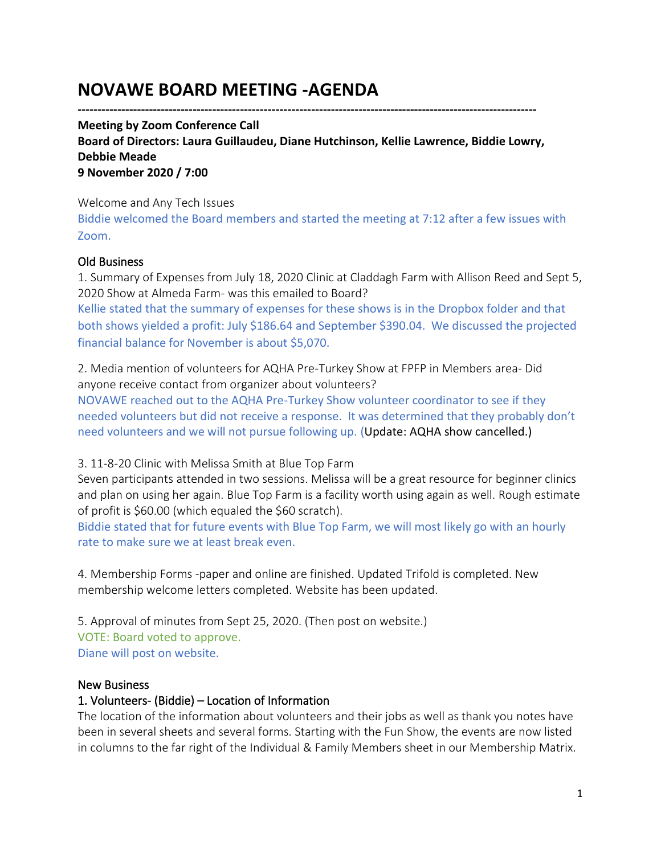# **NOVAWE BOARD MEETING -AGENDA**

**--------------------------------------------------------------------------------------------------------------------**

**Meeting by Zoom Conference Call Board of Directors: Laura Guillaudeu, Diane Hutchinson, Kellie Lawrence, Biddie Lowry, Debbie Meade 9 November 2020 / 7:00**

Welcome and Any Tech Issues

Biddie welcomed the Board members and started the meeting at 7:12 after a few issues with Zoom.

## Old Business

1. Summary of Expenses from July 18, 2020 Clinic at Claddagh Farm with Allison Reed and Sept 5, 2020 Show at Almeda Farm- was this emailed to Board?

Kellie stated that the summary of expenses for these shows is in the Dropbox folder and that both shows yielded a profit: July \$186.64 and September \$390.04. We discussed the projected financial balance for November is about \$5,070.

2. Media mention of volunteers for AQHA Pre-Turkey Show at FPFP in Members area- Did anyone receive contact from organizer about volunteers?

NOVAWE reached out to the AQHA Pre-Turkey Show volunteer coordinator to see if they needed volunteers but did not receive a response. It was determined that they probably don't need volunteers and we will not pursue following up. (Update: AQHA show cancelled.)

3. 11-8-20 Clinic with Melissa Smith at Blue Top Farm

Seven participants attended in two sessions. Melissa will be a great resource for beginner clinics and plan on using her again. Blue Top Farm is a facility worth using again as well. Rough estimate of profit is \$60.00 (which equaled the \$60 scratch).

Biddie stated that for future events with Blue Top Farm, we will most likely go with an hourly rate to make sure we at least break even.

4. Membership Forms -paper and online are finished. Updated Trifold is completed. New membership welcome letters completed. Website has been updated.

5. Approval of minutes from Sept 25, 2020. (Then post on website.) VOTE: Board voted to approve. Diane will post on website.

#### New Business

## 1. Volunteers- (Biddie) – Location of Information

The location of the information about volunteers and their jobs as well as thank you notes have been in several sheets and several forms. Starting with the Fun Show, the events are now listed in columns to the far right of the Individual & Family Members sheet in our Membership Matrix.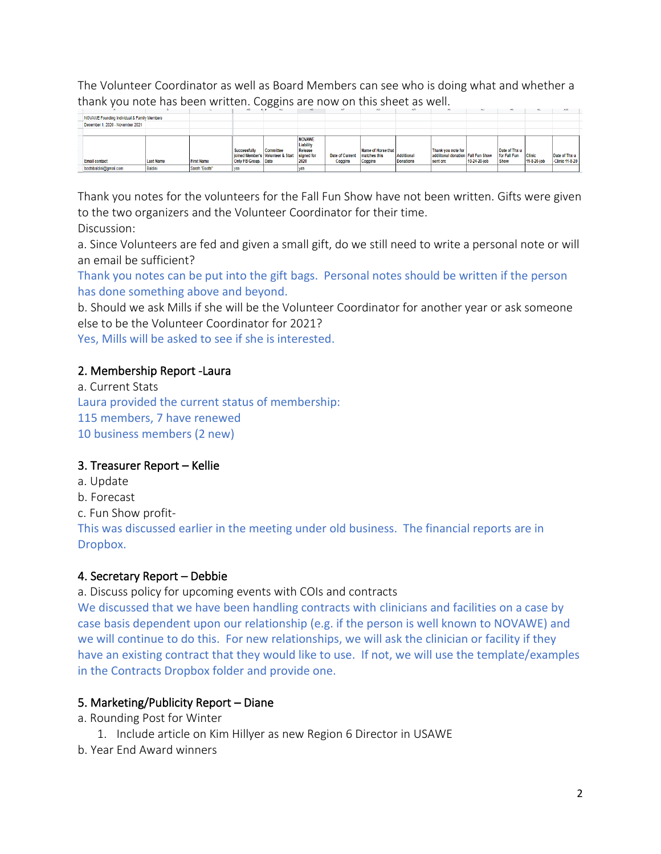The Volunteer Coordinator as well as Board Members can see who is doing what and whether a thank you note has been written. Coggins are now on this sheet as well.

|                                             |                  |                   | <b>MD</b>                           |                                                           | m.                                            | <b>PE</b>                         | mo                                            | <b>NB</b>                      |                                                                       | ю.           | <b>MA</b>                                    |                              | <b>MB1</b>                       |
|---------------------------------------------|------------------|-------------------|-------------------------------------|-----------------------------------------------------------|-----------------------------------------------|-----------------------------------|-----------------------------------------------|--------------------------------|-----------------------------------------------------------------------|--------------|----------------------------------------------|------------------------------|----------------------------------|
| NOVAWE Founding Individual & Family Members |                  |                   |                                     |                                                           |                                               |                                   |                                               |                                |                                                                       |              |                                              |                              |                                  |
| December 1, 2020 - November 2021            |                  |                   |                                     |                                                           |                                               |                                   |                                               |                                |                                                                       |              |                                              |                              |                                  |
|                                             |                  |                   |                                     |                                                           |                                               |                                   |                                               |                                |                                                                       |              |                                              |                              |                                  |
| <b>Email contact</b>                        | <b>Last Name</b> | <b>First Name</b> | Successfully<br>Only FB Group. Date | Committee<br>joined Member's Volunteer & Start signed for | <b>NOVAWE</b><br>Liability<br>Release<br>2020 | <b>Date of Current</b><br>Coggins | Name of Horse that<br>matches this<br>Coggins | Additional<br><b>Donations</b> | Thank you note for<br>addiitonal donation   Fall Fun Show<br>sent on: | 10-24-20-job | Date of Thx u<br>for Fall Fun<br><b>Show</b> | <b>Clinic</b><br>11-8-20-job | Date of Thx u<br>-Clinic 11-8-20 |
| bootsbaldini@gmail.com                      | <b>Baldini</b>   | Sarah "Boots"     | ves                                 |                                                           |                                               |                                   |                                               |                                |                                                                       |              |                                              |                              |                                  |

Thank you notes for the volunteers for the Fall Fun Show have not been written. Gifts were given to the two organizers and the Volunteer Coordinator for their time.

Discussion:

a. Since Volunteers are fed and given a small gift, do we still need to write a personal note or will an email be sufficient?

Thank you notes can be put into the gift bags. Personal notes should be written if the person has done something above and beyond.

b. Should we ask Mills if she will be the Volunteer Coordinator for another year or ask someone else to be the Volunteer Coordinator for 2021?

Yes, Mills will be asked to see if she is interested.

## 2. Membership Report -Laura

a. Current Stats Laura provided the current status of membership: 115 members, 7 have renewed 10 business members (2 new)

## 3. Treasurer Report – Kellie

- a. Update
- b. Forecast
- c. Fun Show profit-

This was discussed earlier in the meeting under old business. The financial reports are in Dropbox.

## 4. Secretary Report – Debbie

a. Discuss policy for upcoming events with COIs and contracts

We discussed that we have been handling contracts with clinicians and facilities on a case by case basis dependent upon our relationship (e.g. if the person is well known to NOVAWE) and we will continue to do this. For new relationships, we will ask the clinician or facility if they have an existing contract that they would like to use. If not, we will use the template/examples in the Contracts Dropbox folder and provide one.

## 5. Marketing/Publicity Report – Diane

- a. Rounding Post for Winter
	- 1. Include article on Kim Hillyer as new Region 6 Director in USAWE
- b. Year End Award winners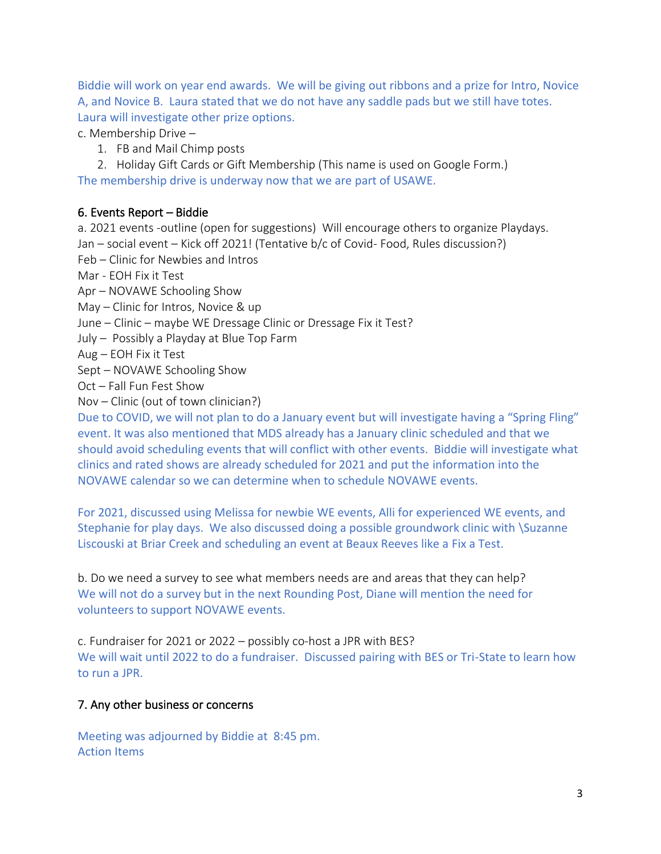Biddie will work on year end awards. We will be giving out ribbons and a prize for Intro, Novice A, and Novice B. Laura stated that we do not have any saddle pads but we still have totes. Laura will investigate other prize options.

c. Membership Drive –

1. FB and Mail Chimp posts

2. Holiday Gift Cards or Gift Membership (This name is used on Google Form.) The membership drive is underway now that we are part of USAWE.

#### 6. Events Report – Biddie

a. 2021 events -outline (open for suggestions) Will encourage others to organize Playdays. Jan – social event – Kick off 2021! (Tentative b/c of Covid- Food, Rules discussion?)

Feb – Clinic for Newbies and Intros

Mar - EOH Fix it Test

Apr – NOVAWE Schooling Show

May – Clinic for Intros, Novice & up

- June Clinic maybe WE Dressage Clinic or Dressage Fix it Test?
- July Possibly a Playday at Blue Top Farm
- Aug EOH Fix it Test

Sept – NOVAWE Schooling Show

Oct – Fall Fun Fest Show

Nov – Clinic (out of town clinician?)

Due to COVID, we will not plan to do a January event but will investigate having a "Spring Fling" event. It was also mentioned that MDS already has a January clinic scheduled and that we should avoid scheduling events that will conflict with other events. Biddie will investigate what clinics and rated shows are already scheduled for 2021 and put the information into the NOVAWE calendar so we can determine when to schedule NOVAWE events.

For 2021, discussed using Melissa for newbie WE events, Alli for experienced WE events, and Stephanie for play days. We also discussed doing a possible groundwork clinic with \Suzanne Liscouski at Briar Creek and scheduling an event at Beaux Reeves like a Fix a Test.

b. Do we need a survey to see what members needs are and areas that they can help? We will not do a survey but in the next Rounding Post, Diane will mention the need for volunteers to support NOVAWE events.

c. Fundraiser for 2021 or 2022 – possibly co-host a JPR with BES? We will wait until 2022 to do a fundraiser. Discussed pairing with BES or Tri-State to learn how to run a JPR.

## 7. Any other business or concerns

Meeting was adjourned by Biddie at 8:45 pm. Action Items